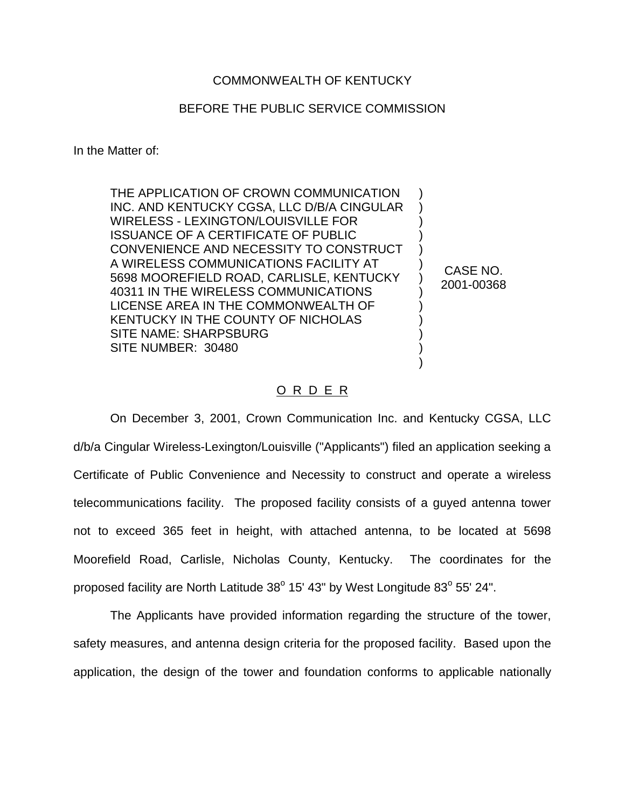## COMMONWEALTH OF KENTUCKY

## BEFORE THE PUBLIC SERVICE COMMISSION

In the Matter of:

THE APPLICATION OF CROWN COMMUNICATION INC. AND KENTUCKY CGSA, LLC D/B/A CINGULAR WIRELESS - LEXINGTON/LOUISVILLE FOR ISSUANCE OF A CERTIFICATE OF PUBLIC CONVENIENCE AND NECESSITY TO CONSTRUCT A WIRELESS COMMUNICATIONS FACILITY AT 5698 MOOREFIELD ROAD, CARLISLE, KENTUCKY 40311 IN THE WIRELESS COMMUNICATIONS LICENSE AREA IN THE COMMONWEALTH OF KENTUCKY IN THE COUNTY OF NICHOLAS SITE NAME: SHARPSBURG SITE NUMBER: 30480

CASE NO. 2001-00368

) ) ) ) ) ) ) ) ) ) ) ) )

## O R D E R

On December 3, 2001, Crown Communication Inc. and Kentucky CGSA, LLC d/b/a Cingular Wireless-Lexington/Louisville ("Applicants") filed an application seeking a Certificate of Public Convenience and Necessity to construct and operate a wireless telecommunications facility. The proposed facility consists of a guyed antenna tower not to exceed 365 feet in height, with attached antenna, to be located at 5698 Moorefield Road, Carlisle, Nicholas County, Kentucky. The coordinates for the proposed facility are North Latitude  $38^{\circ}$  15' 43" by West Longitude  $83^{\circ}$  55' 24".

The Applicants have provided information regarding the structure of the tower, safety measures, and antenna design criteria for the proposed facility. Based upon the application, the design of the tower and foundation conforms to applicable nationally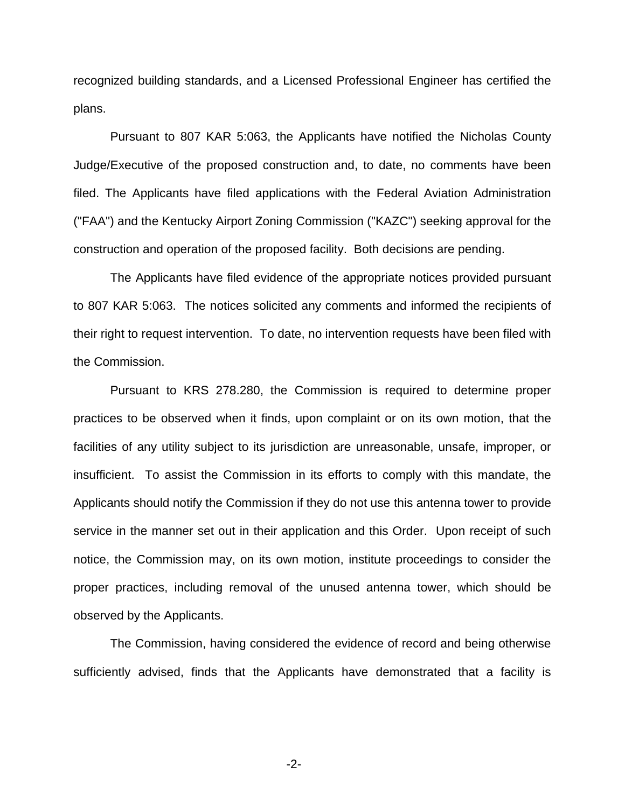recognized building standards, and a Licensed Professional Engineer has certified the plans.

Pursuant to 807 KAR 5:063, the Applicants have notified the Nicholas County Judge/Executive of the proposed construction and, to date, no comments have been filed. The Applicants have filed applications with the Federal Aviation Administration ("FAA") and the Kentucky Airport Zoning Commission ("KAZC") seeking approval for the construction and operation of the proposed facility. Both decisions are pending.

The Applicants have filed evidence of the appropriate notices provided pursuant to 807 KAR 5:063. The notices solicited any comments and informed the recipients of their right to request intervention. To date, no intervention requests have been filed with the Commission.

Pursuant to KRS 278.280, the Commission is required to determine proper practices to be observed when it finds, upon complaint or on its own motion, that the facilities of any utility subject to its jurisdiction are unreasonable, unsafe, improper, or insufficient. To assist the Commission in its efforts to comply with this mandate, the Applicants should notify the Commission if they do not use this antenna tower to provide service in the manner set out in their application and this Order. Upon receipt of such notice, the Commission may, on its own motion, institute proceedings to consider the proper practices, including removal of the unused antenna tower, which should be observed by the Applicants.

The Commission, having considered the evidence of record and being otherwise sufficiently advised, finds that the Applicants have demonstrated that a facility is

-2-